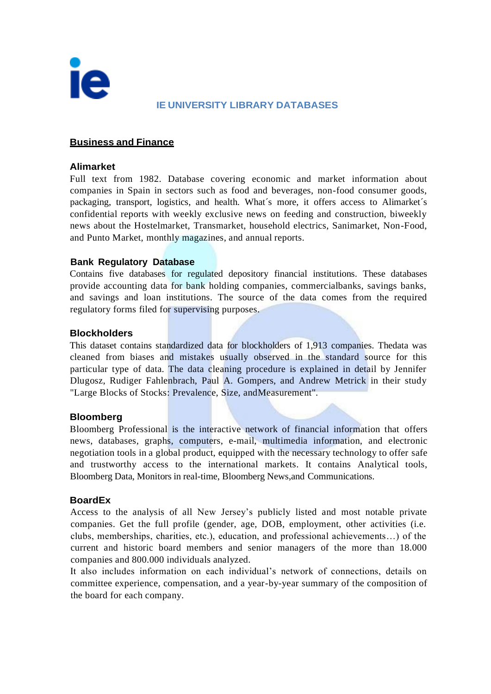

### **IE UNIVERSITY LIBRARY DATABASES**

### **Business and Finance**

#### **Alimarket**

Full text from 1982. Database covering economic and market information about companies in Spain in sectors such as food and beverages, non-food consumer goods, packaging, transport, logistics, and health. What´s more, it offers access to Alimarket´s confidential reports with weekly exclusive news on feeding and construction, biweekly news about the Hostelmarket, Transmarket, household electrics, Sanimarket, Non-Food, and Punto Market, monthly magazines, and annual reports.

#### **Bank Regulatory Database**

Contains five databases for regulated depository financial institutions. These databases provide accounting data for bank holding companies, commercialbanks, savings banks, and savings and loan institutions. The source of the data comes from the required regulatory forms filed for supervising purposes.

#### **Blockholders**

This dataset contains standardized data for blockholders of 1,913 companies. Thedata was cleaned from biases and mistakes usually observed in the standard source for this particular type of data. The data cleaning procedure is explained in detail by Jennifer Dlugosz, Rudiger Fahlenbrach, Paul A. Gompers, and Andrew Metrick in their study "Large Blocks of Stocks: Prevalence, Size, andMeasurement".

#### **Bloomberg**

Bloomberg Professional is the interactive network of financial information that offers news, databases, graphs, computers, e-mail, multimedia information, and electronic negotiation tools in a global product, equipped with the necessary technology to offer safe and trustworthy access to the international markets. It contains Analytical tools, Bloomberg Data, Monitors in real-time, Bloomberg News,and Communications.

#### **BoardEx**

Access to the analysis of all New Jersey's publicly listed and most notable private companies. Get the full profile (gender, age, DOB, employment, other activities (i.e. clubs, memberships, charities, etc.), education, and professional achievements…) of the current and historic board members and senior managers of the more than 18.000 companies and 800.000 individuals analyzed.

It also includes information on each individual's network of connections, details on committee experience, compensation, and a year-by-year summary of the composition of the board for each company.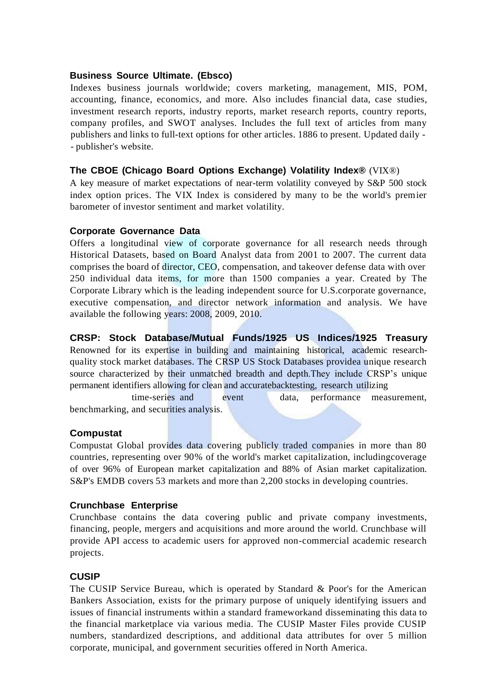### **Business Source Ultimate. (Ebsco)**

Indexes business journals worldwide; covers marketing, management, MIS, POM, accounting, finance, economics, and more. Also includes financial data, case studies, investment research reports, industry reports, market research reports, country reports, company profiles, and SWOT analyses. Includes the full text of articles from many publishers and links to full-text options for other articles. 1886 to present. Updated daily - - publisher's website.

## **The CBOE (Chicago Board Options Exchange) Volatility Index®** (VIX®)

A key measure of market expectations of near-term volatility conveyed by S&P 500 stock index option prices. The VIX Index is considered by many to be the world's premier barometer of investor sentiment and market volatility.

## **Corporate Governance Data**

Offers a longitudinal view of corporate governance for all research needs through Historical Datasets, based on Board Analyst data from 2001 to 2007. The current data comprises the board of director, CEO, compensation, and takeover defense data with over 250 individual data items, for more than 1500 companies a year. Created by The Corporate Library which is the leading independent source for U.S.corporate governance, executive compensation, and director network information and analysis. We have available the following years: 2008, 2009, 2010.

**CRSP: Stock Database/Mutual Funds/1925 US Indices/1925 Treasury**

Renowned for its expertise in building and maintaining historical, academic researchquality stock market databases. The CRSP US Stock Databases providea unique research source characterized by their unmatched breadth and depth.They include CRSP's unique permanent identifiers allowing for clean and accuratebacktesting, research utilizing

time-series and event data, performance measurement, benchmarking, and securities analysis.

### **Compustat**

Compustat Global provides data covering publicly traded companies in more than 80 countries, representing over 90% of the world's market capitalization, includingcoverage of over 96% of European market capitalization and 88% of Asian market capitalization. S&P's EMDB covers 53 markets and more than 2,200 stocks in developing countries.

### **Crunchbase Enterprise**

Crunchbase contains the data covering public and private company investments, financing, people, mergers and acquisitions and more around the world. Crunchbase will provide API access to academic users for approved non-commercial academic research projects.

# **CUSIP**

The CUSIP Service Bureau, which is operated by Standard & Poor's for the American Bankers Association, exists for the primary purpose of uniquely identifying issuers and issues of financial instruments within a standard frameworkand disseminating this data to the financial marketplace via various media. The CUSIP Master Files provide CUSIP numbers, standardized descriptions, and additional data attributes for over 5 million corporate, municipal, and government securities offered in North America.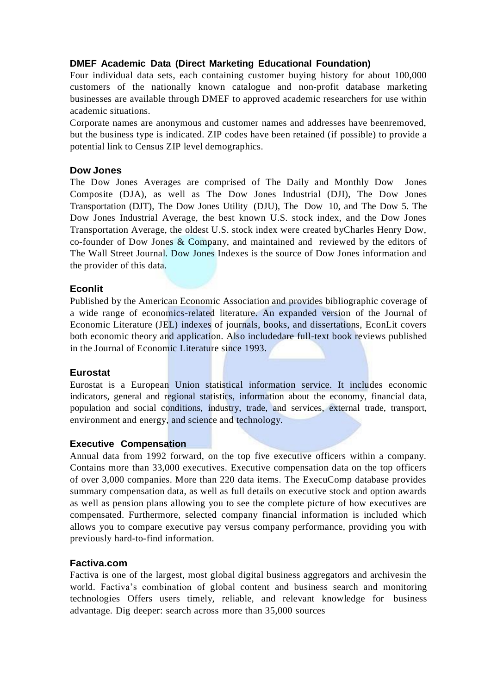# **DMEF Academic Data (Direct Marketing Educational Foundation)**

Four individual data sets, each containing customer buying history for about 100,000 customers of the nationally known catalogue and non-profit database marketing businesses are available through DMEF to approved academic researchers for use within academic situations.

Corporate names are anonymous and customer names and addresses have beenremoved, but the business type is indicated. ZIP codes have been retained (if possible) to provide a potential link to Census ZIP level demographics.

### **Dow Jones**

The Dow Jones Averages are comprised of The Daily and Monthly Dow Jones Composite (DJA), as well as The Dow Jones Industrial (DJI), The Dow Jones Transportation (DJT), The Dow Jones Utility (DJU), The Dow 10, and The Dow 5. The Dow Jones Industrial Average, the best known U.S. stock index, and the Dow Jones Transportation Average, the oldest U.S. stock index were created byCharles Henry Dow, co-founder of Dow Jones & Company, and maintained and reviewed by the editors of The Wall Street Journal. Dow Jones Indexes is the source of Dow Jones information and the provider of this data.

## **Econlit**

Published by the American Economic Association and provides bibliographic coverage of a wide range of economics-related literature. An expanded version of the Journal of Economic Literature (JEL) indexes of journals, books, and dissertations, EconLit covers both economic theory and application. Also includedare full-text book reviews published in the Journal of Economic Literature since 1993.

### **Eurostat**

Eurostat is a European Union statistical information service. It includes economic indicators, general and regional statistics, information about the economy, financial data, population and social conditions, industry, trade, and services, external trade, transport, environment and energy, and science and technology.

### **Executive Compensation**

Annual data from 1992 forward, on the top five executive officers within a company. Contains more than 33,000 executives. Executive compensation data on the top officers of over 3,000 companies. More than 220 data items. The ExecuComp database provides summary compensation data, as well as full details on executive stock and option awards as well as pension plans allowing you to see the complete picture of how executives are compensated. Furthermore, selected company financial information is included which allows you to compare executive pay versus company performance, providing you with previously hard-to-find information.

### **Factiva.com**

Factiva is one of the largest, most global digital business aggregators and archivesin the world. Factiva's combination of global content and business search and monitoring technologies Offers users timely, reliable, and relevant knowledge for business advantage. Dig deeper: search across more than 35,000 sources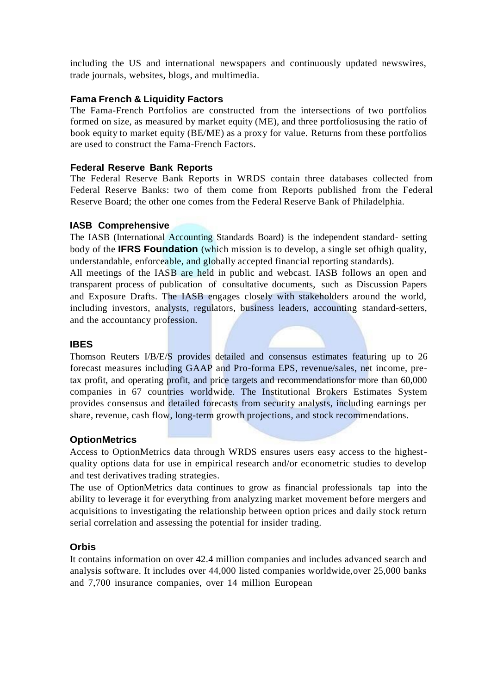including the US and international newspapers and continuously updated newswires, trade journals, websites, blogs, and multimedia.

## **Fama French & Liquidity Factors**

The Fama-French Portfolios are constructed from the intersections of two portfolios formed on size, as measured by market equity (ME), and three portfoliosusing the ratio of book equity to market equity (BE/ME) as a proxy for value. Returns from these portfolios are used to construct the Fama-French Factors.

#### **Federal Reserve Bank Reports**

The Federal Reserve Bank Reports in WRDS contain three databases collected from Federal Reserve Banks: two of them come from Reports published from the Federal Reserve Board; the other one comes from the Federal Reserve Bank of Philadelphia.

### **IASB Comprehensive**

The IASB (International Accounting Standards Board) is the independent standard- setting body of the **IFRS Foundation** (which mission is to develop, a single set ofhigh quality, understandable, enforceable, and globally accepted financial reporting standards).

All meetings of the IASB are held in public and webcast. IASB follows an open and transparent process of publication of consultative documents, such as Discussion Papers and Exposure Drafts. The IASB engages closely with stakeholders around the world, including investors, analysts, regulators, business leaders, accounting standard-setters, and the accountancy profession.

### **IBES**

Thomson Reuters I/B/E/S provides detailed and consensus estimates featuring up to 26 forecast measures including GAAP and Pro-forma EPS, revenue/sales, net income, pretax profit, and operating profit, and price targets and recommendationsfor more than 60,000 companies in 67 countries worldwide. The Institutional Brokers Estimates System provides consensus and detailed forecasts from security analysts, including earnings per share, revenue, cash flow, long-term growth projections, and stock recommendations.

### **OptionMetrics**

Access to OptionMetrics data through WRDS ensures users easy access to the highestquality options data for use in empirical research and/or econometric studies to develop and test derivatives trading strategies.

The use of OptionMetrics data continues to grow as financial professionals tap into the ability to leverage it for everything from analyzing market movement before mergers and acquisitions to investigating the relationship between option prices and daily stock return serial correlation and assessing the potential for insider trading.

### **Orbis**

It contains information on over 42.4 million companies and includes advanced search and analysis software. It includes over 44,000 listed companies worldwide,over 25,000 banks and 7,700 insurance companies, over 14 million European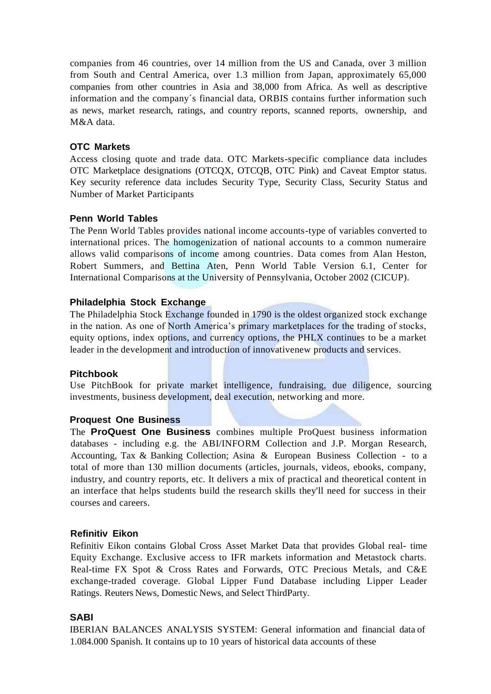companies from 46 countries, over 14 million from the US and Canada, over 3 million from South and Central America, over 1.3 million from Japan, approximately 65,000 companies from other countries in Asia and 38,000 from Africa. As well as descriptive information and the company´s financial data, ORBIS contains further information such as news, market research, ratings, and country reports, scanned reports, ownership, and M&A data.

### **OTC Markets**

Access closing quote and trade data. OTC Markets-specific compliance data includes OTC Marketplace designations (OTCQX, OTCQB, OTC Pink) and Caveat Emptor status. Key security reference data includes Security Type, Security Class, Security Status and Number of Market Participants

### **Penn World Tables**

The Penn World Tables provides national income accounts-type of variables converted to international prices. The homogenization of national accounts to a common numeraire allows valid comparisons of income among countries. Data comes from Alan Heston, Robert Summers, and Bettina Aten, Penn World Table Version 6.1, Center for International Comparisons at the University of Pennsylvania, October 2002 (CICUP).

#### **Philadelphia Stock Exchange**

The Philadelphia Stock Exchange founded in 1790 is the oldest organized stock exchange in the nation. As one of North America's primary marketplaces for the trading of stocks, equity options, index options, and currency options, the PHLX continues to be a market leader in the development and introduction of innovativenew products and services.

#### **Pitchbook**

Use PitchBook for private market intelligence, fundraising, due diligence, sourcing investments, business development, deal execution, networking and more.

### **Proquest One Business**

The **ProQuest One Business** combines multiple ProQuest business information databases - including e.g. the ABI/INFORM Collection and J.P. Morgan Research, Accounting, Tax & Banking Collection; Asina & European Business Collection - to a total of more than 130 million documents (articles, journals, videos, ebooks, company, industry, and country reports, etc. It delivers a mix of practical and theoretical content in an interface that helps students build the research skills they'll need for success in their courses and careers.

#### **Refinitiv Eikon**

Refinitiv Eikon contains Global Cross Asset Market Data that provides Global real- time Equity Exchange. Exclusive access to IFR markets information and Metastock charts. Real-time FX Spot & Cross Rates and Forwards, OTC Precious Metals, and C&E exchange-traded coverage. Global Lipper Fund Database including Lipper Leader Ratings. Reuters News, Domestic News, and Select ThirdParty.

### **SABI**

IBERIAN BALANCES ANALYSIS SYSTEM: General information and financial data of 1.084.000 Spanish. It contains up to 10 years of historical data accounts of these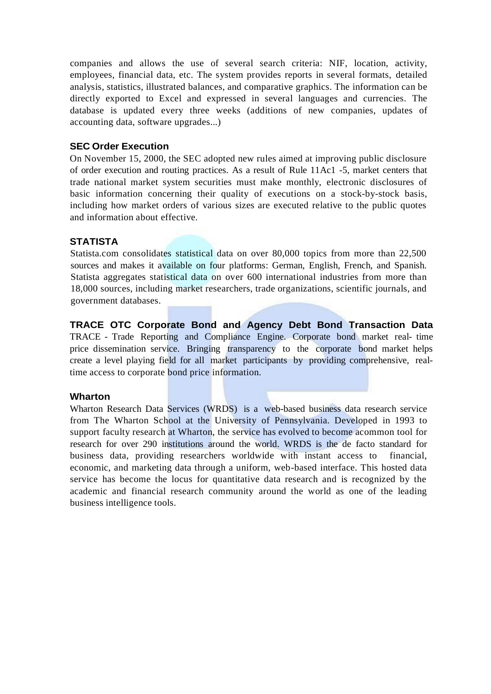companies and allows the use of several search criteria: NIF, location, activity, employees, financial data, etc. The system provides reports in several formats, detailed analysis, statistics, illustrated balances, and comparative graphics. The information can be directly exported to Excel and expressed in several languages and currencies. The database is updated every three weeks (additions of new companies, updates of accounting data, software upgrades...)

#### **SEC Order Execution**

On November 15, 2000, the SEC adopted new rules aimed at improving public disclosure of order execution and routing practices. As a result of Rule 11Ac1 -5, market centers that trade national market system securities must make monthly, electronic disclosures of basic information concerning their quality of executions on a stock-by-stock basis, including how market orders of various sizes are executed relative to the public quotes and information about effective.

### **STATISTA**

Statista.com consolidates statistical data on over 80,000 topics from more than 22,500 sources and makes it available on four platforms: German, English, French, and Spanish. Statista aggregates statistical data on over 600 international industries from more than 18,000 sources, including market researchers, trade organizations, scientific journals, and government databases.

**TRACE OTC Corporate Bond and Agency Debt Bond Transaction Data** TRACE - Trade Reporting and Compliance Engine. Corporate bond market real- time price dissemination service. Bringing transparency to the corporate bond market helps create a level playing field for all market participants by providing comprehensive, realtime access to corporate bond price information.

#### **Wharton**

Wharton Research Data Services (WRDS) is a web-based business data research service from The Wharton School at the University of Pennsylvania. Developed in 1993 to support faculty research at Wharton, the service has evolved to become acommon tool for research for over 290 institutions around the world. WRDS is the de facto standard for business data, providing researchers worldwide with instant access to financial, economic, and marketing data through a uniform, web-based interface. This hosted data service has become the locus for quantitative data research and is recognized by the academic and financial research community around the world as one of the leading business intelligence tools.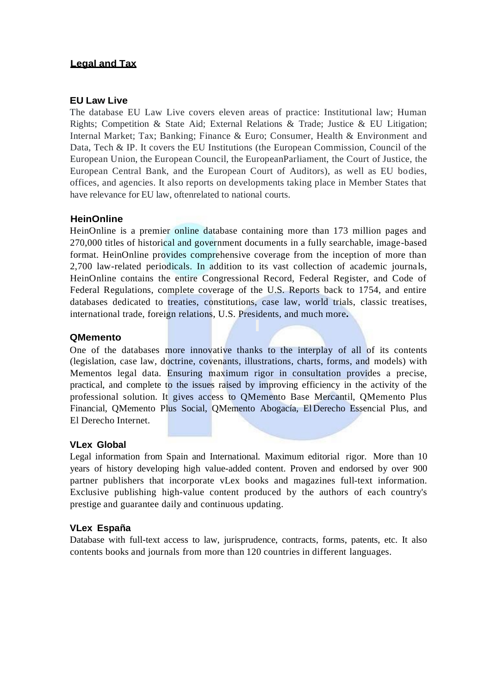# **Legal and Tax**

### **EU Law Live**

The database EU Law Live covers eleven areas of practice: Institutional law; Human Rights; Competition & State Aid; External Relations & Trade; Justice & EU Litigation; Internal Market; Tax; Banking; Finance & Euro; Consumer, Health & Environment and Data, Tech & IP. It covers the EU Institutions (the European Commission, Council of the European Union, the European Council, the EuropeanParliament, the Court of Justice, the European Central Bank, and the European Court of Auditors), as well as EU bodies, offices, and agencies. It also reports on developments taking place in Member States that have relevance for EU law, oftenrelated to national courts.

## **HeinOnline**

HeinOnline is a premier online database containing more than 173 million pages and 270,000 titles of historical and government documents in a fully searchable, image-based format. HeinOnline provides comprehensive coverage from the inception of more than 2,700 law-related periodicals. In addition to its vast collection of academic journals, HeinOnline contains the entire Congressional Record, Federal Register, and Code of Federal Regulations, complete coverage of the U.S. Reports back to 1754, and entire databases dedicated to treaties, constitutions, case law, world trials, classic treatises, international trade, foreign relations, U.S. Presidents, and much more**.**

### **QMemento**

One of the databases more innovative thanks to the interplay of all of its contents (legislation, case law, doctrine, covenants, illustrations, charts, forms, and models) with Mementos legal data. Ensuring maximum rigor in consultation provides a precise, practical, and complete to the issues raised by improving efficiency in the activity of the professional solution. It gives access to QMemento Base Mercantil, QMemento Plus Financial, QMemento Plus Social, QMemento Abogacía, ElDerecho Essencial Plus, and El Derecho Internet.

### **VLex Global**

Legal information from Spain and International. Maximum editorial rigor. More than 10 years of history developing high value-added content. Proven and endorsed by over 900 partner publishers that incorporate vLex books and magazines full-text information. Exclusive publishing high-value content produced by the authors of each country's prestige and guarantee daily and continuous updating.

### **VLex España**

Database with full-text access to law, jurisprudence, contracts, forms, patents, etc. It also contents books and journals from more than 120 countries in different languages.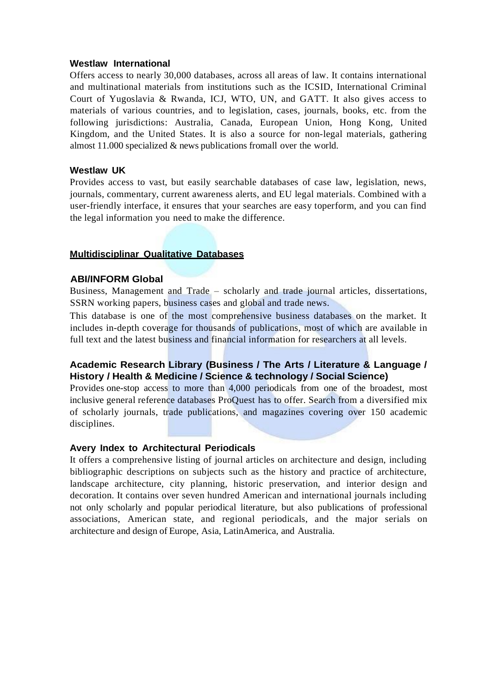### **Westlaw International**

Offers access to nearly 30,000 databases, across all areas of law. It contains international and multinational materials from institutions such as the ICSID, International Criminal Court of Yugoslavia & Rwanda, ICJ, WTO, UN, and GATT. It also gives access to materials of various countries, and to legislation, cases, journals, books, etc. from the following jurisdictions: Australia, Canada, European Union, Hong Kong, United Kingdom, and the United States. It is also a source for non-legal materials, gathering almost 11.000 specialized & news publications fromall over the world.

#### **Westlaw UK**

Provides access to vast, but easily searchable databases of case law, legislation, news, journals, commentary, current awareness alerts, and EU legal materials. Combined with a user-friendly interface, it ensures that your searches are easy toperform, and you can find the legal information you need to make the difference.

#### **Multidisciplinar Qualitative Databases**

#### **ABI/INFORM Global**

Business, Management and Trade – scholarly and trade journal articles, dissertations, SSRN working papers, business cases and global and trade news.

This database is one of the most comprehensive business databases on the market. It includes in-depth coverage for thousands of publications, most of which are available in full text and the latest business and financial information for researchers at all levels.

# **Academic Research Library (Business / The Arts / Literature & Language / History / Health & Medicine / Science & technology / Social Science)**

Provides one-stop access to more than 4,000 periodicals from one of the broadest, most inclusive general reference databases ProQuest has to offer. Search from a diversified mix of scholarly journals, trade publications, and magazines covering over 150 academic disciplines.

#### **Avery Index to Architectural Periodicals**

It offers a comprehensive listing of journal articles on architecture and design, including bibliographic descriptions on subjects such as the history and practice of architecture, landscape architecture, city planning, historic preservation, and interior design and decoration. It contains over seven hundred American and international journals including not only scholarly and popular periodical literature, but also publications of professional associations, American state, and regional periodicals, and the major serials on architecture and design of Europe, Asia, LatinAmerica, and Australia.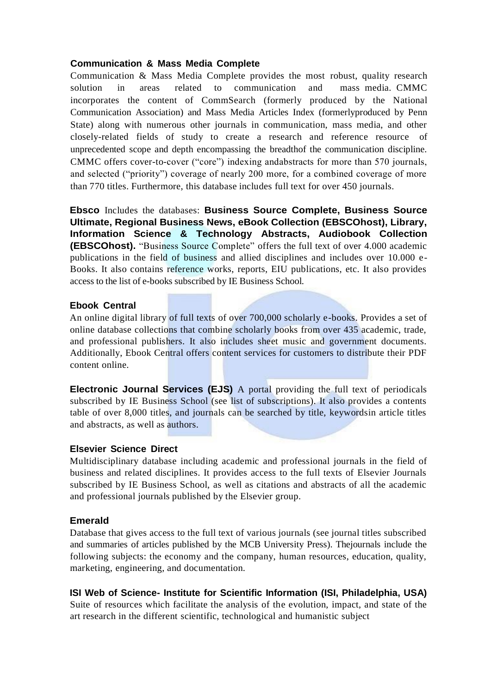## **Communication & Mass Media Complete**

Communication & Mass Media Complete provides the most robust, quality research solution in areas related to communication and mass media. CMMC incorporates the content of CommSearch (formerly produced by the National Communication Association) and Mass Media Articles Index (formerlyproduced by Penn State) along with numerous other journals in communication, mass media, and other closely-related fields of study to create a research and reference resource of unprecedented scope and depth encompassing the breadthof the communication discipline. CMMC offers cover-to-cover ("core") indexing andabstracts for more than 570 journals, and selected ("priority") coverage of nearly 200 more, for a combined coverage of more than 770 titles. Furthermore, this database includes full text for over 450 journals.

**Ebsco** Includes the databases: **Business Source Complete, Business Source Ultimate, Regional Business News, eBook Collection (EBSCOhost), Library, Information Science & Technology Abstracts, Audiobook Collection (EBSCOhost).** "Business Source Complete" offers the full text of over 4.000 academic publications in the field of business and allied disciplines and includes over 10.000 e-Books. It also contains reference works, reports, EIU publications, etc. It also provides access to the list of e-books subscribed by IE Business School.

## **Ebook Central**

An online digital library of full texts of over 700,000 scholarly e-books. Provides a set of online database collections that combine scholarly books from over 435 academic, trade, and professional publishers. It also includes sheet music and government documents. Additionally, Ebook Central offers content services for customers to distribute their PDF content online.

**Electronic Journal Services (EJS)** A portal providing the full text of periodicals subscribed by IE Business School (see list of subscriptions). It also provides a contents table of over 8,000 titles, and journals can be searched by title, keywordsin article titles and abstracts, as well as authors.

### **Elsevier Science Direct**

Multidisciplinary database including academic and professional journals in the field of business and related disciplines. It provides access to the full texts of Elsevier Journals subscribed by IE Business School, as well as citations and abstracts of all the academic and professional journals published by the Elsevier group.

### **Emerald**

Database that gives access to the full text of various journals (see journal titles subscribed and summaries of articles published by the MCB University Press). Thejournals include the following subjects: the economy and the company, human resources, education, quality, marketing, engineering, and documentation.

**ISI Web of Science- Institute for Scientific Information (ISI, Philadelphia, USA)** Suite of resources which facilitate the analysis of the evolution, impact, and state of the art research in the different scientific, technological and humanistic subject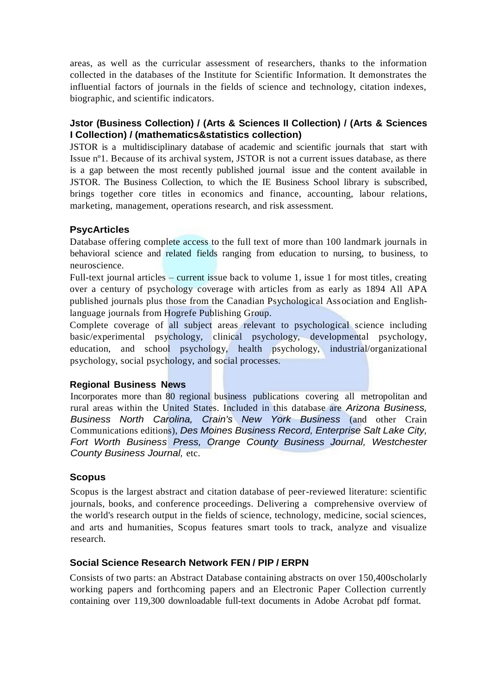areas, as well as the curricular assessment of researchers, thanks to the information collected in the databases of the Institute for Scientific Information. It demonstrates the influential factors of journals in the fields of science and technology, citation indexes, biographic, and scientific indicators.

# **Jstor (Business Collection) / (Arts & Sciences II Collection) / (Arts & Sciences I Collection) / (mathematics&statistics collection)**

JSTOR is a multidisciplinary database of academic and scientific journals that start with Issue nº1. Because of its archival system, JSTOR is not a current issues database, as there is a gap between the most recently published journal issue and the content available in JSTOR. The Business Collection, to which the IE Business School library is subscribed, brings together core titles in economics and finance, accounting, labour relations, marketing, management, operations research, and risk assessment.

## **PsycArticles**

Database offering complete access to the full text of more than 100 landmark journals in behavioral science and related fields ranging from education to nursing, to business, to neuroscience.

Full-text journal articles – current issue back to volume 1, issue 1 for most titles, creating over a century of psychology coverage with articles from as early as 1894 All APA published journals plus those from the Canadian Psychological Association and Englishlanguage journals from Hogrefe Publishing Group.

Complete coverage of all subject areas relevant to psychological science including basic/experimental psychology, clinical psychology, developmental psychology, education, and school psychology, health psychology, industrial/organizational psychology, social psychology, and social processes.

### **Regional Business News**

Incorporates more than 80 regional business publications covering all metropolitan and rural areas within the United States. Included in this database are *Arizona Business, Business North Carolina, Crain's New York Business* (and other Crain Communications editions), *Des Moines Business Record, Enterprise Salt Lake City, Fort Worth Business Press, Orange County Business Journal, Westchester County Business Journal,* etc.

# **Scopus**

Scopus is the largest abstract and citation database of peer-reviewed literature: scientific journals, books, and conference proceedings. Delivering a comprehensive overview of the world's research output in the fields of science, technology, medicine, social sciences, and arts and humanities, Scopus features smart tools to track, analyze and visualize research.

# **Social Science Research Network FEN / PIP / ERPN**

Consists of two parts: an Abstract Database containing abstracts on over 150,400scholarly working papers and forthcoming papers and an Electronic Paper Collection currently containing over 119,300 downloadable full-text documents in Adobe Acrobat pdf format.